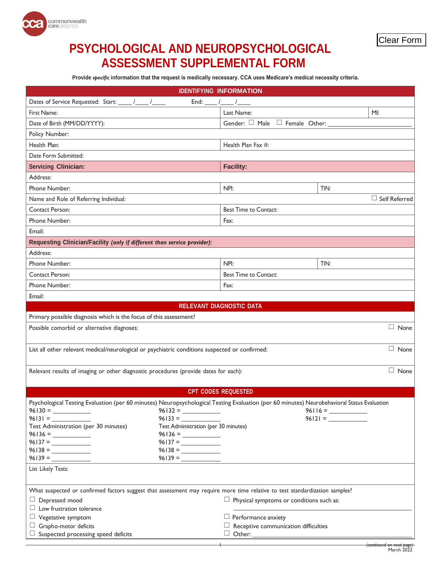

## **PSYCHOLOGICAL AND NEUROPSYCHOLOGICAL ASSESSMENT SUPPLEMENTAL FORM**

 **Provide** *specific* **information that the request is medically necessary. CCA uses Medicare's medical necessity criteria.**

| <b>IDENTIFYING INFORMATION</b>                                                                                                             |                                                 |  |
|--------------------------------------------------------------------------------------------------------------------------------------------|-------------------------------------------------|--|
| Dates of Service Requested: Start: _____ /_____ /_____<br>End: $\frac{1}{\sqrt{2}}$                                                        |                                                 |  |
| First Name:                                                                                                                                | Last Name:<br>M!                                |  |
| Date of Birth (MM/DD/YYYY):                                                                                                                | Gender: □ Male □ Female Other:                  |  |
| Policy Number:                                                                                                                             |                                                 |  |
| Health Plan:                                                                                                                               | Health Plan Fax #:                              |  |
| Date Form Submitted:                                                                                                                       |                                                 |  |
| <b>Servicing Clinician:</b>                                                                                                                | <b>Facility:</b>                                |  |
| Address:                                                                                                                                   |                                                 |  |
| Phone Number:                                                                                                                              | NPI:<br>TIN:                                    |  |
| $\Box$ Self Referred<br>Name and Role of Referring Individual:                                                                             |                                                 |  |
| Contact Person:                                                                                                                            | <b>Best Time to Contact:</b>                    |  |
| Phone Number:                                                                                                                              | Fax:                                            |  |
| Email:                                                                                                                                     |                                                 |  |
| Requesting Clinician/Facility (only if different than service provider):                                                                   |                                                 |  |
| Address:                                                                                                                                   |                                                 |  |
| Phone Number:                                                                                                                              | NPI:<br>TIN:                                    |  |
| <b>Contact Person:</b>                                                                                                                     | <b>Best Time to Contact:</b>                    |  |
| Phone Number:                                                                                                                              | Fax:                                            |  |
| Email:                                                                                                                                     |                                                 |  |
| <b>RELEVANT DIAGNOSTIC DATA</b>                                                                                                            |                                                 |  |
| Primary possible diagnosis which is the focus of this assessment?                                                                          |                                                 |  |
| $\Box$ None<br>Possible comorbid or alternative diagnoses:                                                                                 |                                                 |  |
|                                                                                                                                            |                                                 |  |
| $\Box$ None<br>List all other relevant medical/neurological or psychiatric conditions suspected or confirmed:                              |                                                 |  |
|                                                                                                                                            |                                                 |  |
| $\Box$ None<br>Relevant results of imaging or other diagnostic procedures (provide dates for each):                                        |                                                 |  |
|                                                                                                                                            |                                                 |  |
| <b>CPT CODES REQUESTED</b>                                                                                                                 |                                                 |  |
| Psychological Testing Evaluation (per 60 minutes) Neuropsychological Testing Evaluation (per 60 minutes) Neurobehavioral Status Evaluation |                                                 |  |
| $96130 =$<br>$96132 =$<br>$96131 =$<br>$96133 =$                                                                                           | $96116 =$                                       |  |
| Test Administration (per 30 minutes)<br>Test Administration (per 30 minutes)                                                               | $96121 =$                                       |  |
|                                                                                                                                            |                                                 |  |
|                                                                                                                                            |                                                 |  |
|                                                                                                                                            |                                                 |  |
| $96139 = \_$                                                                                                                               |                                                 |  |
| List Likely Tests:                                                                                                                         |                                                 |  |
|                                                                                                                                            |                                                 |  |
| What suspected or confirmed factors suggest that assessment may require more time relative to test standardization samples?                |                                                 |  |
| $\Box$ Depressed mood                                                                                                                      | $\Box$ Physical symptoms or conditions such as: |  |
| $\Box$ Low frustration tolerance                                                                                                           |                                                 |  |
| $\Box$ Vegetative symptom                                                                                                                  | $\Box$ Performance anxiety                      |  |
| $\Box$ Grapho-motor deficits                                                                                                               | $\Box$ Receptive communication difficulties     |  |
| $\Box$ Suspected processing speed deficits                                                                                                 |                                                 |  |
|                                                                                                                                            |                                                 |  |
|                                                                                                                                            | (continued on next page)<br>March 2022          |  |